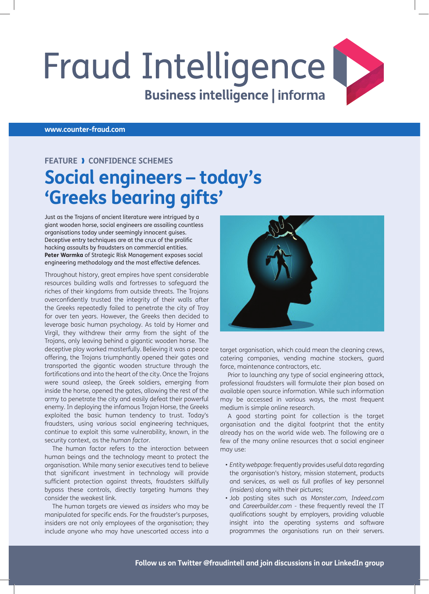## **Fraud Intelligence Business intelligence | informa**

**www.counter-fraud.com**

## **FEATURE > CONFIDENCE SCHEMES Social engineers – today's 'Greeks bearing gifts'**

 Just as the Trojans of ancient literature were intrigued by a giant wooden horse, social engineers are assailing countless organisations today under seemingly innocent guises. Deceptive entry techniques are at the crux of the prolific hacking assaults by fraudsters on commercial entities. **Peter Warmka** of Strategic Risk Management exposes social engineering methodology and the most effective defences.

 Throughout history, great empires have spent considerable resources building walls and fortresses to safeguard the riches of their kingdoms from outside threats. The Trojans overconfidently trusted the integrity of their walls after the Greeks repeatedly failed to penetrate the city of Troy for over ten years. However, the Greeks then decided to leverage basic human psychology. As told by Homer and Virgil, they withdrew their army from the sight of the Trojans, only leaving behind a gigantic wooden horse. The deceptive ploy worked masterfully. Believing it was a peace offering, the Trojans triumphantly opened their gates and transported the gigantic wooden structure through the fortifications and into the heart of the city. Once the Trojans were sound asleep, the Greek soldiers, emerging from inside the horse, opened the gates, allowing the rest of the army to penetrate the city and easily defeat their powerful enemy. In deploying the infamous Trojan Horse, the Greeks exploited the basic human tendency to trust. Today's fraudsters, using various social engineering techniques, continue to exploit this same vulnerability, known, in the security context, as the *human factor* .

 The human factor refers to the interaction between human beings and the technology meant to protect the organisation. While many senior executives tend to believe that significant investment in technology will provide sufficient protection against threats, fraudsters skilfully bypass these controls, directly targeting humans they consider the weakest link.

 The human targets are viewed as *insiders* who may be manipulated for specific ends. For the fraudster's purposes, insiders are not only employees of the organisation; they include anyone who may have unescorted access into a



target organisation, which could mean the cleaning crews, catering companies, vending machine stockers, guard force, maintenance contractors, etc.

 Prior to launching any type of social engineering attack, professional fraudsters will formulate their plan based on available open source information. While such information may be accessed in various ways, the most frequent medium is simple online research.

 A good starting point for collection is the target organisation and the digital footprint that the entity already has on the world wide web. The following are a few of the many online resources that a social engineer may use:

- *Entity webpage* : frequently provides useful data regarding the organisation's history, mission statement, products and services, as well as full profiles of key personnel *(insiders)* along with their pictures;
- Job posting sites such as *Monster.com* , *Indeed.com* and *Careerbuilder.com* - these frequently reveal the IT qualifications sought by employers, providing valuable insight into the operating systems and software programmes the organisations run on their servers.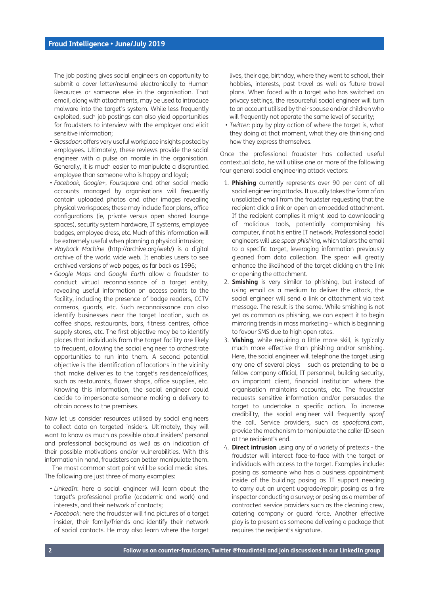The job posting gives social engineers an opportunity to submit a cover letter/resumé electronically to Human Resources or someone else in the organisation. That email, along with attachments, may be used to introduce malware into the target's system. While less frequently exploited, such job postings can also yield opportunities for fraudsters to interview with the employer and elicit sensitive information;

- *Glassdoor* : offers very useful workplace insights posted by employees. Ultimately, these reviews provide the social engineer with a pulse on morale in the organisation. Generally, it is much easier to manipulate a disgruntled employee than someone who is happy and loyal;
- *Facebook* , *Google+* , *Foursquare* and other social media accounts managed by organisations will frequently contain uploaded photos and other images revealing physical workspaces; these may include floor plans, office configurations (ie, private versus open shared lounge spaces), security system hardware, IT systems, employee badges, employee dress, etc. Much of this information will be extremely useful when planning a physical intrusion;
- *Wayback Machine* (http://archive.org/web/) is a digital archive of the world wide web. It enables users to see archived versions of web pages, as far back as 1996;
- *Google Maps* and *Google Earth* allow a fraudster to conduct virtual reconnaissance of a target entity, revealing useful information on access points to the facility, including the presence of badge readers, CCTV cameras, guards, etc. Such reconnaissance can also identify businesses near the target location, such as coffee shops, restaurants, bars, fitness centres, office supply stores, etc. The first objective may be to identify places that individuals from the target facility are likely to frequent, allowing the social engineer to orchestrate opportunities to run into them. A second potential objective is the identification of locations in the vicinity that make deliveries to the target's residence/offices, such as restaurants, flower shops, office supplies, etc. Knowing this information, the social engineer could decide to impersonate someone making a delivery to obtain access to the premises.

 Now let us consider resources utilised by social engineers to collect data on targeted insiders. Ultimately, they will want to know as much as possible about insiders' personal and professional background as well as an indication of their possible motivations and/or vulnerabilities. With this information in hand, fraudsters can better manipulate them.

 The most common start point will be social media sites. The following are just three of many examples:

- LinkedIn: here a social engineer will learn about the target's professional profile (academic and work) and interests, and their network of contacts;
- Facebook: here the fraudster will find pictures of a target insider, their family/friends and identify their network of social contacts. He may also learn where the target

lives, their age, birthday, where they went to school, their hobbies, interests, past travel as well as future travel plans. When faced with a target who has switched on privacy settings, the resourceful social engineer will turn to an account utilised by their spouse and/or children who will frequently not operate the same level of security;

• *Twitter*: play by play action of where the target is, what they doing at that moment, what they are thinking and how they express themselves.

 Once the professional fraudster has collected useful contextual data, he will utilise one or more of the following four general social engineering attack vectors:

- 1. **Phishing** currently represents over 90 per cent of all social engineering attacks. It usually takes the form of an unsolicited email from the fraudster requesting that the recipient click a link or open an embedded attachment. If the recipient complies it might lead to downloading of malicious tools, potentially compromising his computer, if not his entire IT network. Professional social engineers will use *spear phishing,* which tailors the email to a specific target, leveraging information previously gleaned from data collection. The spear will greatly enhance the likelihood of the target clicking on the link or opening the attachment.
- 2. **Smishing** is very similar to phishing, but instead of using email as a medium to deliver the attack, the social engineer will send a link or attachment via text message. The result is the same. While smishing is not yet as common as phishing, we can expect it to begin mirroring trends in mass marketing – which is beginning to favour SMS due to high open rates.
- 3. Vishing, while requiring a little more skill, is typically much more effective than phishing and/or smishing. Here, the social engineer will telephone the target using any one of several ploys – such as pretending to be a fellow company official, IT personnel, building security, an important client, financial institution where the organisation maintains accounts, etc. The fraudster requests sensitive information and/or persuades the target to undertake a specific action. To increase credibility, the social engineer will frequently *spoof* the call. Service providers, such as *spoofcard.com*, provide the mechanism to manipulate the caller ID seen at the recipient's end.
- 4. **Direct intrusion** using any of a variety of pretexts the fraudster will interact face-to-face with the target or individuals with access to the target. Examples include: posing as someone who has a business appointment inside of the building; posing as IT support needing to carry out an urgent upgrade/repair; posing as a fire inspector conducting a survey; or posing as a member of contracted service providers such as the cleaning crew, catering company or guard force. Another effective ploy is to present as someone delivering a package that requires the recipient's signature.